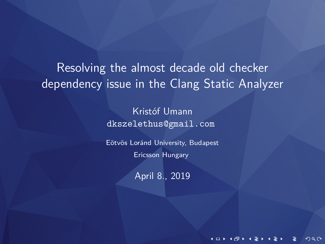Resolving the almost decade old checker dependency issue in the Clang Static Analyzer

> Kristóf Umann dkszelethus@gmail.com

Eötvös Loránd University, Budapest Ericsson Hungary

April 8., 2019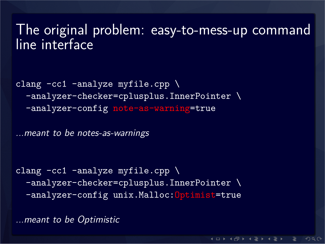### The original problem: easy-to-mess-up command line interface

```
clang -cc1 -analyze myfile.cpp \
-analyzer-checker=cplusplus.InnerPointer \
-analyzer-config note-as-warning=true
```
*...meant to be notes-as-warnings*

```
clang -cc1 -analyze myfile.cpp \
-analyzer-checker=cplusplus.InnerPointer \
 -analyzer-config unix.Malloc:Optimist=true
```
*...meant to be Optimistic*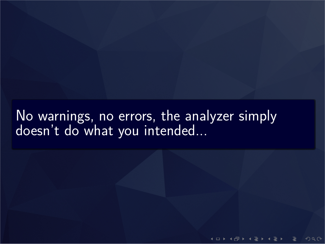No warnings, no errors, the analyzer simply doesn't do what you intended...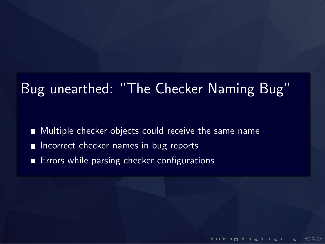# Bug unearthed: "The Checker Naming Bug"

- Multiple checker objects could receive the same name
- **Incorrect checker names in bug reports**
- **Errors while parsing checker configurations**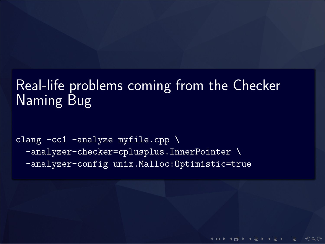### Real-life problems coming from the Checker Naming Bug

clang  $-cc1$  -analyze myfile.cpp  $\setminus$ -analyzer-checker=cplusplus.InnerPointer \ -analyzer-config unix.Malloc:Optimistic=true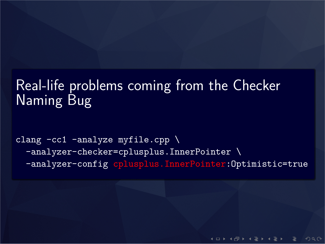### Real-life problems coming from the Checker Naming Bug

```
clang -cc1 -analyze myfile.cpp \setminus-analyzer-checker=cplusplus.InnerPointer \
 -analyzer-config cplusplus.InnerPointer:Optimistic=true
```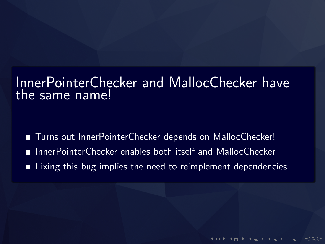#### InnerPointerChecker and MallocChecker have the same name!

- Turns out InnerPointerChecker depends on MallocChecker!
- InnerPointerChecker enables both itself and MallocChecker
- Fixing this bug implies the need to reimplement dependencies...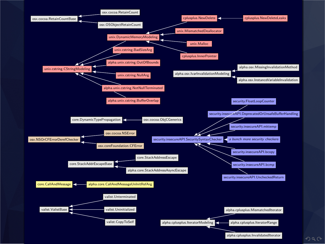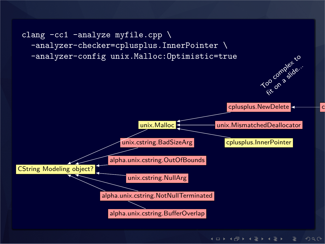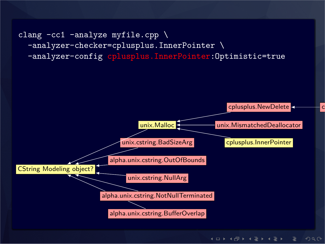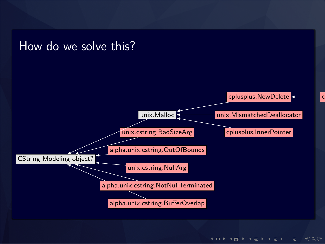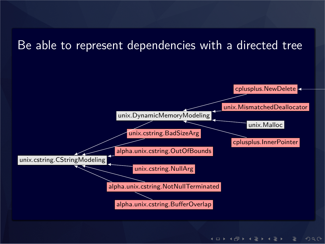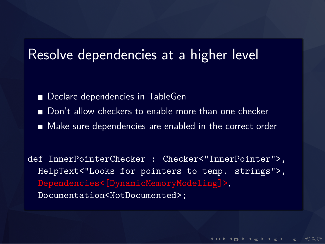### Resolve dependencies at a higher level

- Declare dependencies in TableGen
- Don't allow checkers to enable more than one checker
- Make sure dependencies are enabled in the correct order

def InnerPointerChecker : Checker<"InnerPointer">, HelpText<"Looks for pointers to temp. strings">, Dependencies<[DynamicMemoryModeling]>, Documentation<NotDocumented>;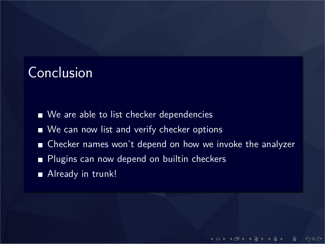## **Conclusion**

- We are able to list checker dependencies
- We can now list and verify checker options
- Checker names won't depend on how we invoke the analyzer
- Plugins can now depend on builtin checkers
- Already in trunk!